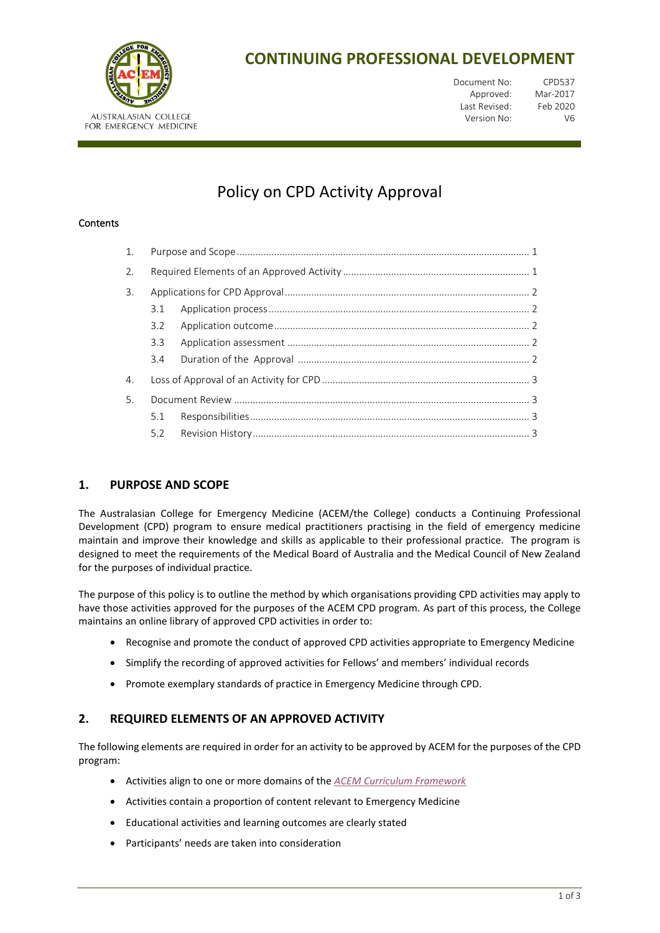

# **CONTINUING PROFESSIONAL DEVELOPMENT**

| Document No:  | CPD537   |
|---------------|----------|
| Approved:     | Mar-2017 |
| Last Revised: | Feb 2020 |
| Version No:   | V6       |

# Policy on CPD Activity Approval

#### **Contents**

| 2. |     |  |  |  |  |
|----|-----|--|--|--|--|
| 3. |     |  |  |  |  |
|    | 3.1 |  |  |  |  |
|    | 3.2 |  |  |  |  |
|    | 3.3 |  |  |  |  |
|    | 3.4 |  |  |  |  |
| 4. |     |  |  |  |  |
| 5. |     |  |  |  |  |
|    | 5.1 |  |  |  |  |
|    |     |  |  |  |  |

# <span id="page-0-0"></span>**1. PURPOSE AND SCOPE**

The Australasian College for Emergency Medicine (ACEM/the College) conducts a Continuing Professional Development (CPD) program to ensure medical practitioners practising in the field of emergency medicine maintain and improve their knowledge and skills as applicable to their professional practice. The program is designed to meet the requirements of the Medical Board of Australia and the Medical Council of New Zealand for the purposes of individual practice.

The purpose of this policy is to outline the method by which organisations providing CPD activities may apply to have those activities approved for the purposes of the ACEM CPD program. As part of this process, the College maintains an online library of approved CPD activities in order to:

- Recognise and promote the conduct of approved CPD activities appropriate to Emergency Medicine
- Simplify the recording of approved activities for Fellows' and members' individual records
- Promote exemplary standards of practice in Emergency Medicine through CPD.

# <span id="page-0-1"></span>**2. REQUIRED ELEMENTS OF AN APPROVED ACTIVITY**

The following elements are required in order for an activity to be approved by ACEM for the purposes of the CPD program:

- Activities align to one or more domains of the *[ACEM Curriculum Framework](https://acem.org.au/Education-Training/Specialist-Training/Curriculum-Framework.aspx)*
- Activities contain a proportion of content relevant to Emergency Medicine
- Educational activities and learning outcomes are clearly stated
- Participants' needs are taken into consideration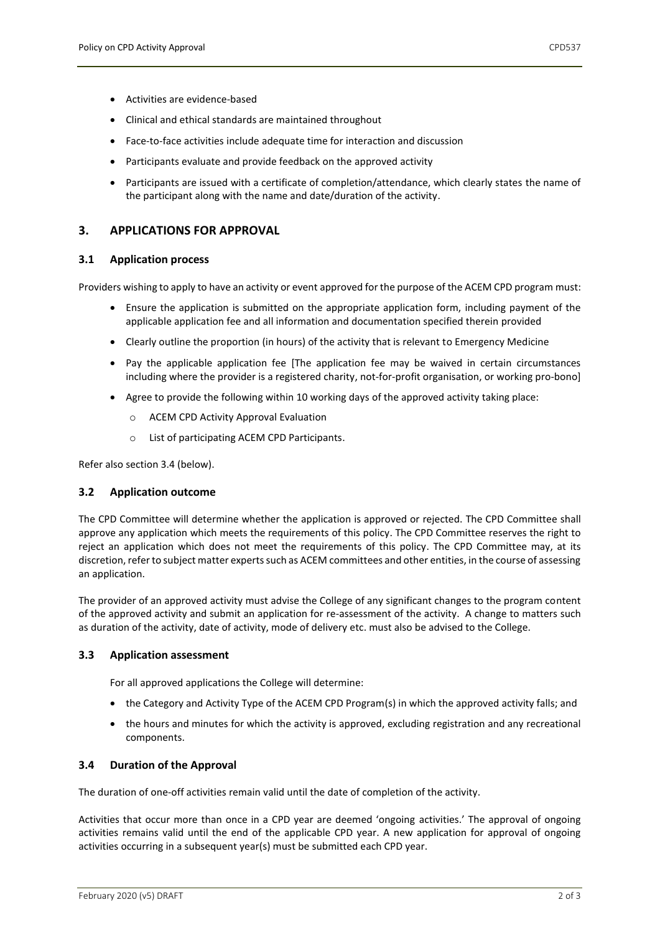- Activities are evidence-based
- Clinical and ethical standards are maintained throughout
- Face-to-face activities include adequate time for interaction and discussion
- Participants evaluate and provide feedback on the approved activity
- Participants are issued with a certificate of completion/attendance, which clearly states the name of the participant along with the name and date/duration of the activity.

### <span id="page-1-0"></span>**3. APPLICATIONS FOR APPROVAL**

#### <span id="page-1-1"></span>**3.1 Application process**

Providers wishing to apply to have an activity or event approved for the purpose of the ACEM CPD program must:

- Ensure the application is submitted on the appropriate application form, including payment of the applicable application fee and all information and documentation specified therein provided
- Clearly outline the proportion (in hours) of the activity that is relevant to Emergency Medicine
- Pay the applicable application fee [The application fee may be waived in certain circumstances including where the provider is a registered charity, not-for-profit organisation, or working pro-bono]
- Agree to provide the following within 10 working days of the approved activity taking place:
	- o ACEM CPD Activity Approval Evaluation
	- o List of participating ACEM CPD Participants.

<span id="page-1-2"></span>Refer also section 3.4 (below).

#### **3.2 Application outcome**

The CPD Committee will determine whether the application is approved or rejected. The CPD Committee shall approve any application which meets the requirements of this policy. The CPD Committee reserves the right to reject an application which does not meet the requirements of this policy. The CPD Committee may, at its discretion, refer to subject matter experts such as ACEM committees and other entities, in the course of assessing an application.

The provider of an approved activity must advise the College of any significant changes to the program content of the approved activity and submit an application for re-assessment of the activity. A change to matters such as duration of the activity, date of activity, mode of delivery etc. must also be advised to the College.

#### <span id="page-1-3"></span>**3.3 Application assessment**

For all approved applications the College will determine:

- the Category and Activity Type of the ACEM CPD Program(s) in which the approved activity falls; and
- the hours and minutes for which the activity is approved, excluding registration and any recreational components.

#### <span id="page-1-4"></span>**3.4 Duration of the Approval**

The duration of one-off activities remain valid until the date of completion of the activity.

Activities that occur more than once in a CPD year are deemed 'ongoing activities.' The approval of ongoing activities remains valid until the end of the applicable CPD year. A new application for approval of ongoing activities occurring in a subsequent year(s) must be submitted each CPD year.